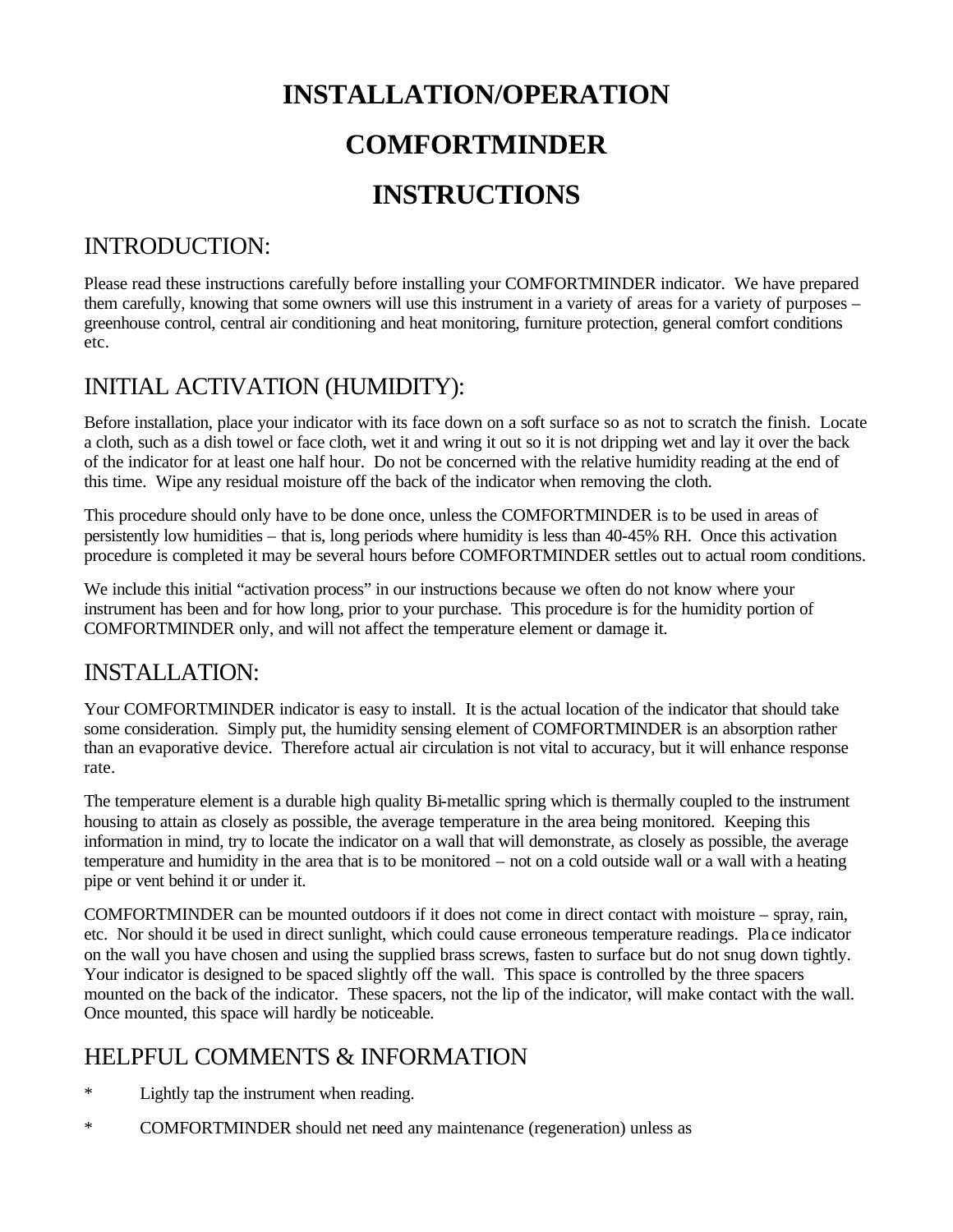# **INSTALLATION/OPERATION COMFORTMINDER INSTRUCTIONS**

# INTRODUCTION:

Please read these instructions carefully before installing your COMFORTMINDER indicator. We have prepared them carefully, knowing that some owners will use this instrument in a variety of areas for a variety of purposes – greenhouse control, central air conditioning and heat monitoring, furniture protection, general comfort conditions etc.

# INITIAL ACTIVATION (HUMIDITY):

Before installation, place your indicator with its face down on a soft surface so as not to scratch the finish. Locate a cloth, such as a dish towel or face cloth, wet it and wring it out so it is not dripping wet and lay it over the back of the indicator for at least one half hour. Do not be concerned with the relative humidity reading at the end of this time. Wipe any residual moisture off the back of the indicator when removing the cloth.

This procedure should only have to be done once, unless the COMFORTMINDER is to be used in areas of persistently low humidities – that is, long periods where humidity is less than 40-45% RH. Once this activation procedure is completed it may be several hours before COMFORTMINDER settles out to actual room conditions.

We include this initial "activation process" in our instructions because we often do not know where your instrument has been and for how long, prior to your purchase. This procedure is for the humidity portion of COMFORTMINDER only, and will not affect the temperature element or damage it.

### INSTALLATION:

Your COMFORTMINDER indicator is easy to install. It is the actual location of the indicator that should take some consideration. Simply put, the humidity sensing element of COMFORTMINDER is an absorption rather than an evaporative device. Therefore actual air circulation is not vital to accuracy, but it will enhance response rate.

The temperature element is a durable high quality Bi-metallic spring which is thermally coupled to the instrument housing to attain as closely as possible, the average temperature in the area being monitored. Keeping this information in mind, try to locate the indicator on a wall that will demonstrate, as closely as possible, the average temperature and humidity in the area that is to be monitored – not on a cold outside wall or a wall with a heating pipe or vent behind it or under it.

COMFORTMINDER can be mounted outdoors if it does not come in direct contact with moisture – spray, rain, etc. Nor should it be used in direct sunlight, which could cause erroneous temperature readings. Pla ce indicator on the wall you have chosen and using the supplied brass screws, fasten to surface but do not snug down tightly. Your indicator is designed to be spaced slightly off the wall. This space is controlled by the three spacers mounted on the back of the indicator. These spacers, not the lip of the indicator, will make contact with the wall. Once mounted, this space will hardly be noticeable.

# HELPFUL COMMENTS & INFORMATION

- \* Lightly tap the instrument when reading.
- \* COMFORTMINDER should net need any maintenance (regeneration) unless as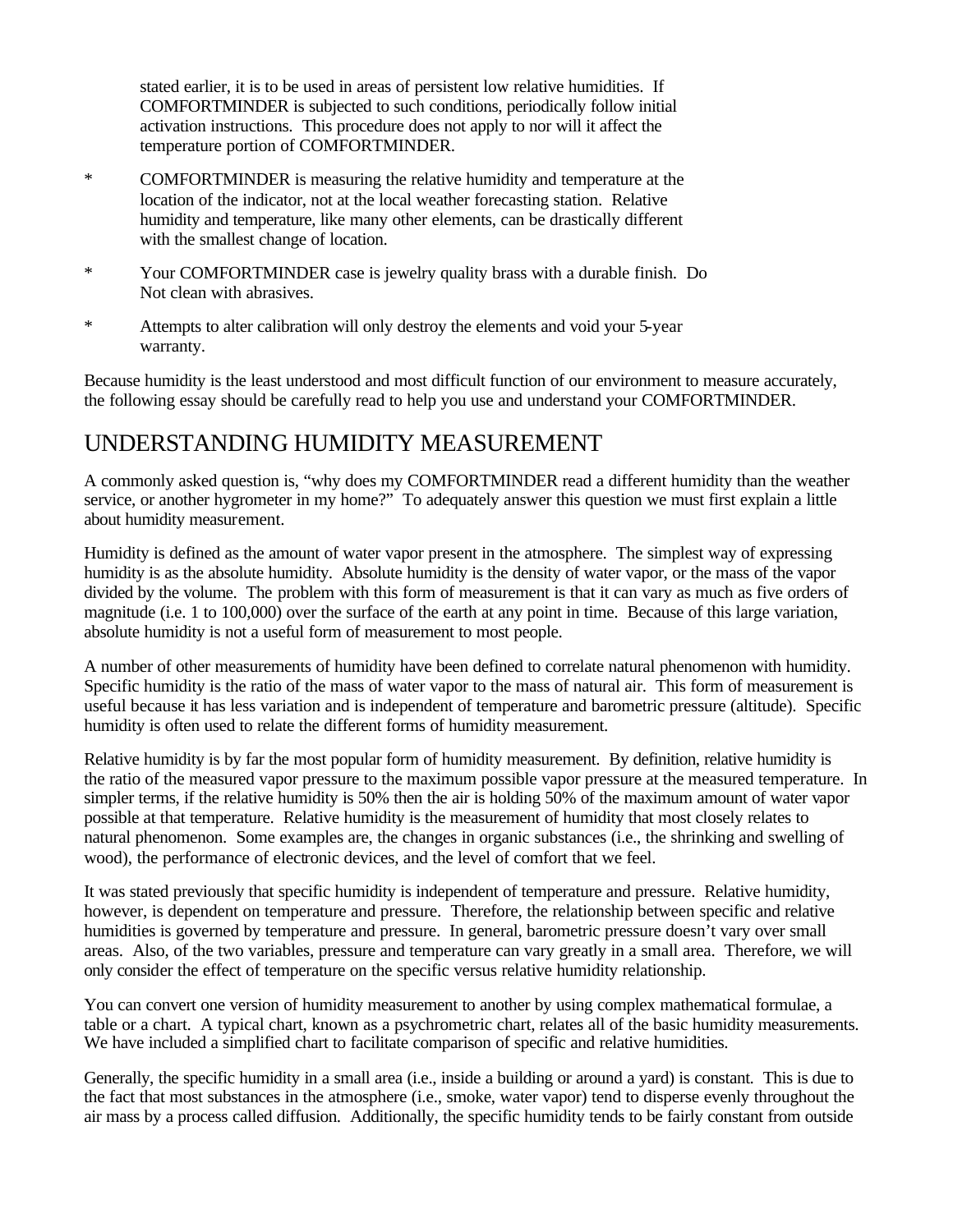stated earlier, it is to be used in areas of persistent low relative humidities. If COMFORTMINDER is subjected to such conditions, periodically follow initial activation instructions. This procedure does not apply to nor will it affect the temperature portion of COMFORTMINDER.

- \* COMFORTMINDER is measuring the relative humidity and temperature at the location of the indicator, not at the local weather forecasting station. Relative humidity and temperature, like many other elements, can be drastically different with the smallest change of location.
- \* Your COMFORTMINDER case is jewelry quality brass with a durable finish. Do Not clean with abrasives.
- \* Attempts to alter calibration will only destroy the elements and void your 5-year warranty.

Because humidity is the least understood and most difficult function of our environment to measure accurately, the following essay should be carefully read to help you use and understand your COMFORTMINDER.

## UNDERSTANDING HUMIDITY MEASUREMENT

A commonly asked question is, "why does my COMFORTMINDER read a different humidity than the weather service, or another hygrometer in my home?" To adequately answer this question we must first explain a little about humidity measurement.

Humidity is defined as the amount of water vapor present in the atmosphere. The simplest way of expressing humidity is as the absolute humidity. Absolute humidity is the density of water vapor, or the mass of the vapor divided by the volume. The problem with this form of measurement is that it can vary as much as five orders of magnitude (i.e. 1 to 100,000) over the surface of the earth at any point in time. Because of this large variation, absolute humidity is not a useful form of measurement to most people.

A number of other measurements of humidity have been defined to correlate natural phenomenon with humidity. Specific humidity is the ratio of the mass of water vapor to the mass of natural air. This form of measurement is useful because it has less variation and is independent of temperature and barometric pressure (altitude). Specific humidity is often used to relate the different forms of humidity measurement.

Relative humidity is by far the most popular form of humidity measurement. By definition, relative humidity is the ratio of the measured vapor pressure to the maximum possible vapor pressure at the measured temperature. In simpler terms, if the relative humidity is 50% then the air is holding 50% of the maximum amount of water vapor possible at that temperature. Relative humidity is the measurement of humidity that most closely relates to natural phenomenon. Some examples are, the changes in organic substances (i.e., the shrinking and swelling of wood), the performance of electronic devices, and the level of comfort that we feel.

It was stated previously that specific humidity is independent of temperature and pressure. Relative humidity, however, is dependent on temperature and pressure. Therefore, the relationship between specific and relative humidities is governed by temperature and pressure. In general, barometric pressure doesn't vary over small areas. Also, of the two variables, pressure and temperature can vary greatly in a small area. Therefore, we will only consider the effect of temperature on the specific versus relative humidity relationship.

You can convert one version of humidity measurement to another by using complex mathematical formulae, a table or a chart. A typical chart, known as a psychrometric chart, relates all of the basic humidity measurements. We have included a simplified chart to facilitate comparison of specific and relative humidities.

Generally, the specific humidity in a small area (i.e., inside a building or around a yard) is constant. This is due to the fact that most substances in the atmosphere (i.e., smoke, water vapor) tend to disperse evenly throughout the air mass by a process called diffusion. Additionally, the specific humidity tends to be fairly constant from outside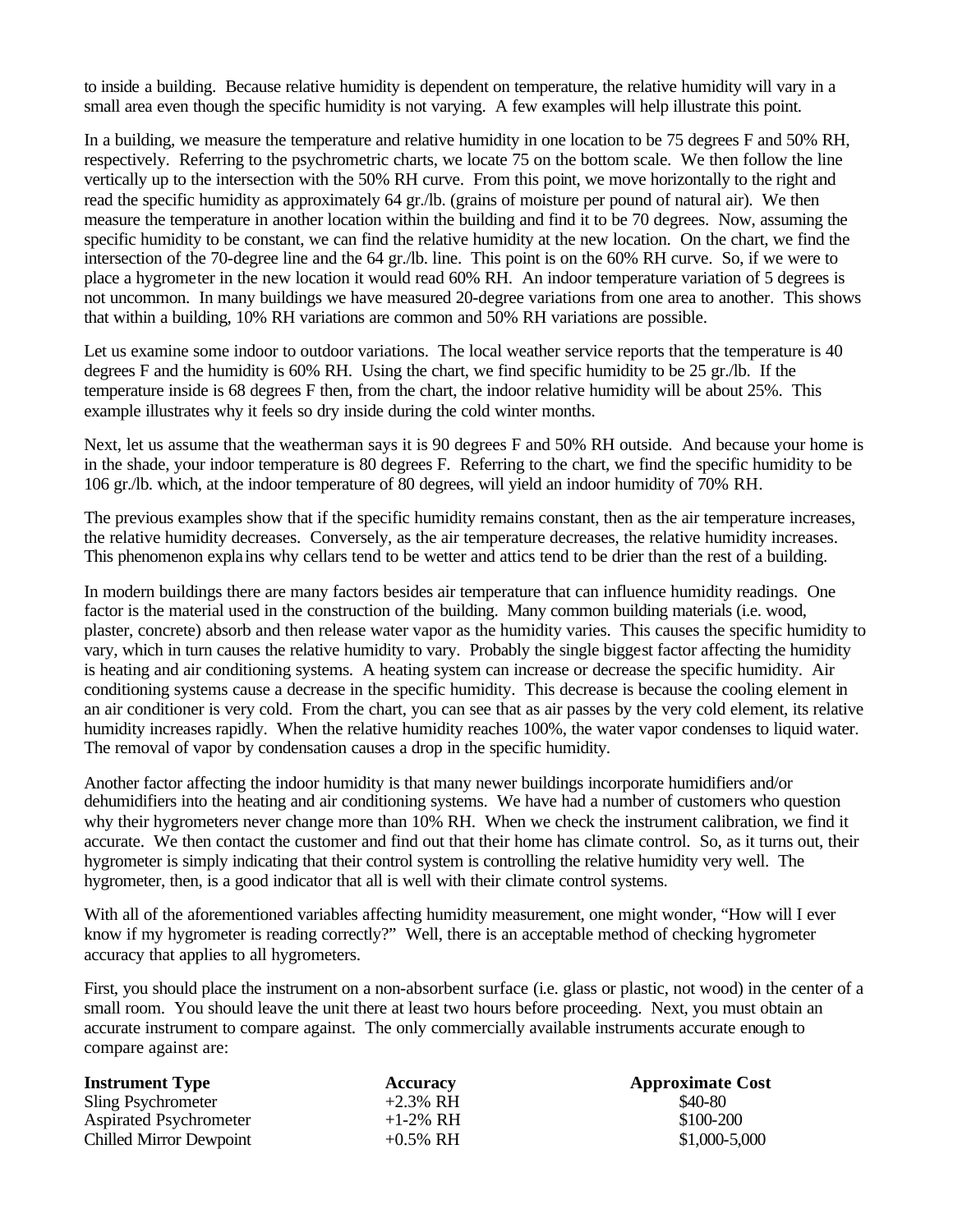to inside a building. Because relative humidity is dependent on temperature, the relative humidity will vary in a small area even though the specific humidity is not varying. A few examples will help illustrate this point.

In a building, we measure the temperature and relative humidity in one location to be 75 degrees F and 50% RH, respectively. Referring to the psychrometric charts, we locate 75 on the bottom scale. We then follow the line vertically up to the intersection with the 50% RH curve. From this point, we move horizontally to the right and read the specific humidity as approximately 64 gr./lb. (grains of moisture per pound of natural air). We then measure the temperature in another location within the building and find it to be 70 degrees. Now, assuming the specific humidity to be constant, we can find the relative humidity at the new location. On the chart, we find the intersection of the 70-degree line and the 64 gr./lb. line. This point is on the 60% RH curve. So, if we were to place a hygrometer in the new location it would read 60% RH. An indoor temperature variation of 5 degrees is not uncommon. In many buildings we have measured 20-degree variations from one area to another. This shows that within a building, 10% RH variations are common and 50% RH variations are possible.

Let us examine some indoor to outdoor variations. The local weather service reports that the temperature is 40 degrees F and the humidity is 60% RH. Using the chart, we find specific humidity to be 25 gr./lb. If the temperature inside is 68 degrees F then, from the chart, the indoor relative humidity will be about 25%. This example illustrates why it feels so dry inside during the cold winter months.

Next, let us assume that the weatherman says it is 90 degrees F and 50% RH outside. And because your home is in the shade, your indoor temperature is 80 degrees F. Referring to the chart, we find the specific humidity to be 106 gr./lb. which, at the indoor temperature of 80 degrees, will yield an indoor humidity of 70% RH.

The previous examples show that if the specific humidity remains constant, then as the air temperature increases, the relative humidity decreases. Conversely, as the air temperature decreases, the relative humidity increases. This phenomenon explains why cellars tend to be wetter and attics tend to be drier than the rest of a building.

In modern buildings there are many factors besides air temperature that can influence humidity readings. One factor is the material used in the construction of the building. Many common building materials (i.e. wood, plaster, concrete) absorb and then release water vapor as the humidity varies. This causes the specific humidity to vary, which in turn causes the relative humidity to vary. Probably the single biggest factor affecting the humidity is heating and air conditioning systems. A heating system can increase or decrease the specific humidity. Air conditioning systems cause a decrease in the specific humidity. This decrease is because the cooling element in an air conditioner is very cold. From the chart, you can see that as air passes by the very cold element, its relative humidity increases rapidly. When the relative humidity reaches 100%, the water vapor condenses to liquid water. The removal of vapor by condensation causes a drop in the specific humidity.

Another factor affecting the indoor humidity is that many newer buildings incorporate humidifiers and/or dehumidifiers into the heating and air conditioning systems. We have had a number of customers who question why their hygrometers never change more than 10% RH. When we check the instrument calibration, we find it accurate. We then contact the customer and find out that their home has climate control. So, as it turns out, their hygrometer is simply indicating that their control system is controlling the relative humidity very well. The hygrometer, then, is a good indicator that all is well with their climate control systems.

With all of the aforementioned variables affecting humidity measurement, one might wonder, "How will I ever know if my hygrometer is reading correctly?" Well, there is an acceptable method of checking hygrometer accuracy that applies to all hygrometers.

First, you should place the instrument on a non-absorbent surface (i.e. glass or plastic, not wood) in the center of a small room. You should leave the unit there at least two hours before proceeding. Next, you must obtain an accurate instrument to compare against. The only commercially available instruments accurate enough to compare against are:

| <b>Instrument Type</b>         | <b>Accuracy</b> | <b>Approximate Cost</b> |
|--------------------------------|-----------------|-------------------------|
| Sling Psychrometer             | $+2.3\%$ RH     | \$40-80                 |
| <b>Aspirated Psychrometer</b>  | $+1-2\%$ RH     | \$100-200               |
| <b>Chilled Mirror Dewpoint</b> | $+0.5\%$ RH     | \$1,000-5,000           |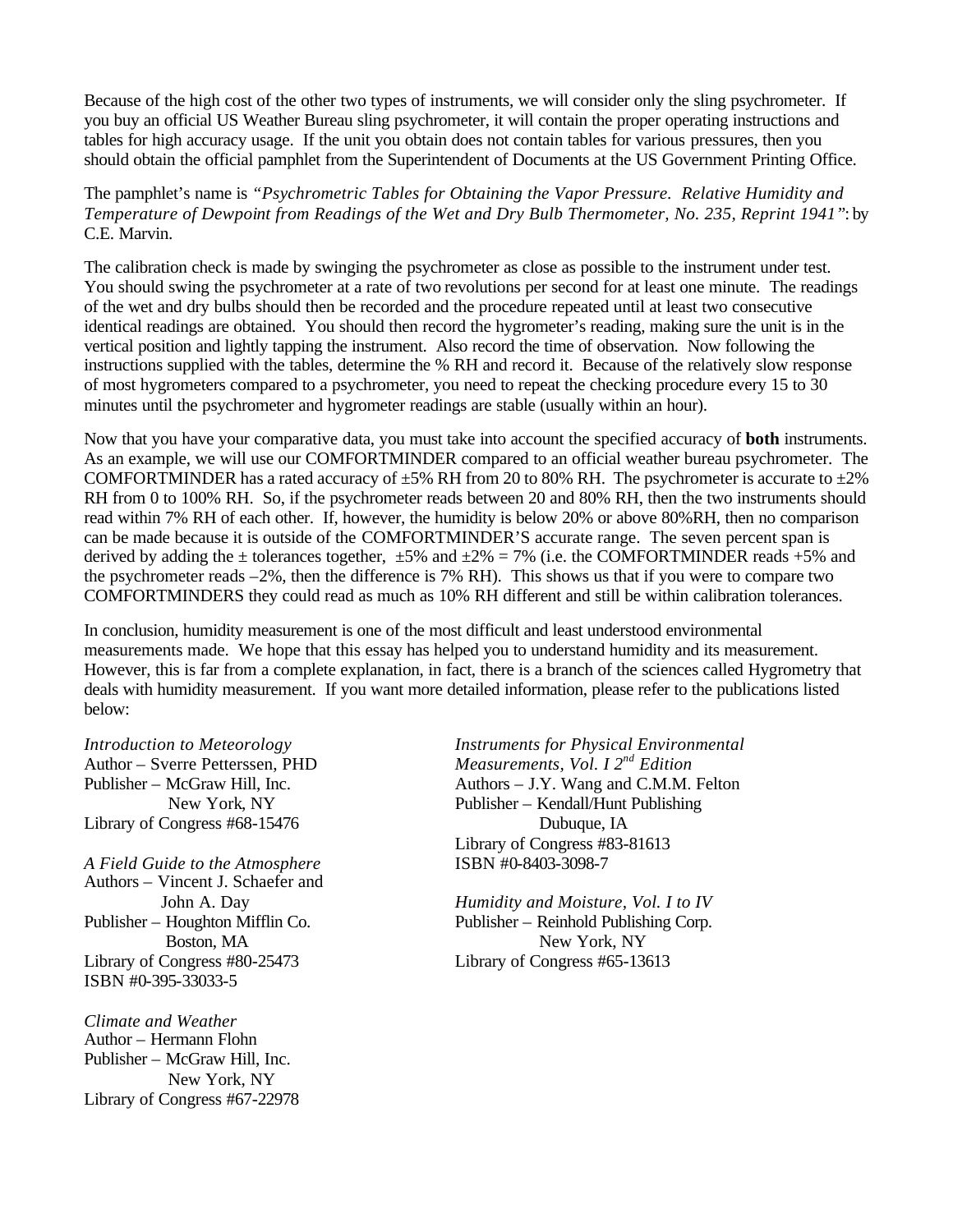Because of the high cost of the other two types of instruments, we will consider only the sling psychrometer. If you buy an official US Weather Bureau sling psychrometer, it will contain the proper operating instructions and tables for high accuracy usage. If the unit you obtain does not contain tables for various pressures, then you should obtain the official pamphlet from the Superintendent of Documents at the US Government Printing Office.

The pamphlet's name is *"Psychrometric Tables for Obtaining the Vapor Pressure. Relative Humidity and Temperature of Dewpoint from Readings of the Wet and Dry Bulb Thermometer, No. 235, Reprint 1941"*: by C.E. Marvin.

The calibration check is made by swinging the psychrometer as close as possible to the instrument under test. You should swing the psychrometer at a rate of two revolutions per second for at least one minute. The readings of the wet and dry bulbs should then be recorded and the procedure repeated until at least two consecutive identical readings are obtained. You should then record the hygrometer's reading, making sure the unit is in the vertical position and lightly tapping the instrument. Also record the time of observation. Now following the instructions supplied with the tables, determine the % RH and record it. Because of the relatively slow response of most hygrometers compared to a psychrometer, you need to repeat the checking procedure every 15 to 30 minutes until the psychrometer and hygrometer readings are stable (usually within an hour).

Now that you have your comparative data, you must take into account the specified accuracy of **both** instruments. As an example, we will use our COMFORTMINDER compared to an official weather bureau psychrometer. The COMFORTMINDER has a rated accuracy of  $\pm 5\%$  RH from 20 to 80% RH. The psychrometer is accurate to  $\pm 2\%$ RH from 0 to 100% RH. So, if the psychrometer reads between 20 and 80% RH, then the two instruments should read within 7% RH of each other. If, however, the humidity is below 20% or above 80%RH, then no comparison can be made because it is outside of the COMFORTMINDER'S accurate range. The seven percent span is derived by adding the  $\pm$  tolerances together,  $\pm 5\%$  and  $\pm 2\% = 7\%$  (i.e. the COMFORTMINDER reads +5% and the psychrometer reads –2%, then the difference is 7% RH). This shows us that if you were to compare two COMFORTMINDERS they could read as much as 10% RH different and still be within calibration tolerances.

In conclusion, humidity measurement is one of the most difficult and least understood environmental measurements made. We hope that this essay has helped you to understand humidity and its measurement. However, this is far from a complete explanation, in fact, there is a branch of the sciences called Hygrometry that deals with humidity measurement. If you want more detailed information, please refer to the publications listed below:

Library of Congress #68-15476 Dubuque, IA

*A Field Guide to the Atmosphere* ISBN #0-8403-3098-7 Authors – Vincent J. Schaefer and Library of Congress #80-25473 Library of Congress #65-13613 ISBN #0-395-33033-5

*Climate and Weather* Author – Hermann Flohn Publisher – McGraw Hill, Inc. New York, NY Library of Congress #67-22978

*Introduction to Meteorology Instruments for Physical Environmental* Author – Sverre Petterssen, PHD *Measurements, Vol. I 2nd Edition* Publisher – McGraw Hill, Inc. Authors – J.Y. Wang and C.M.M. Felton New York, NY Publisher – Kendall/Hunt Publishing Library of Congress #83-81613

John A. Day *Humidity and Moisture, Vol. I to IV* Publisher – Houghton Mifflin Co. Publisher – Reinhold Publishing Corp. Boston, MA New York, NY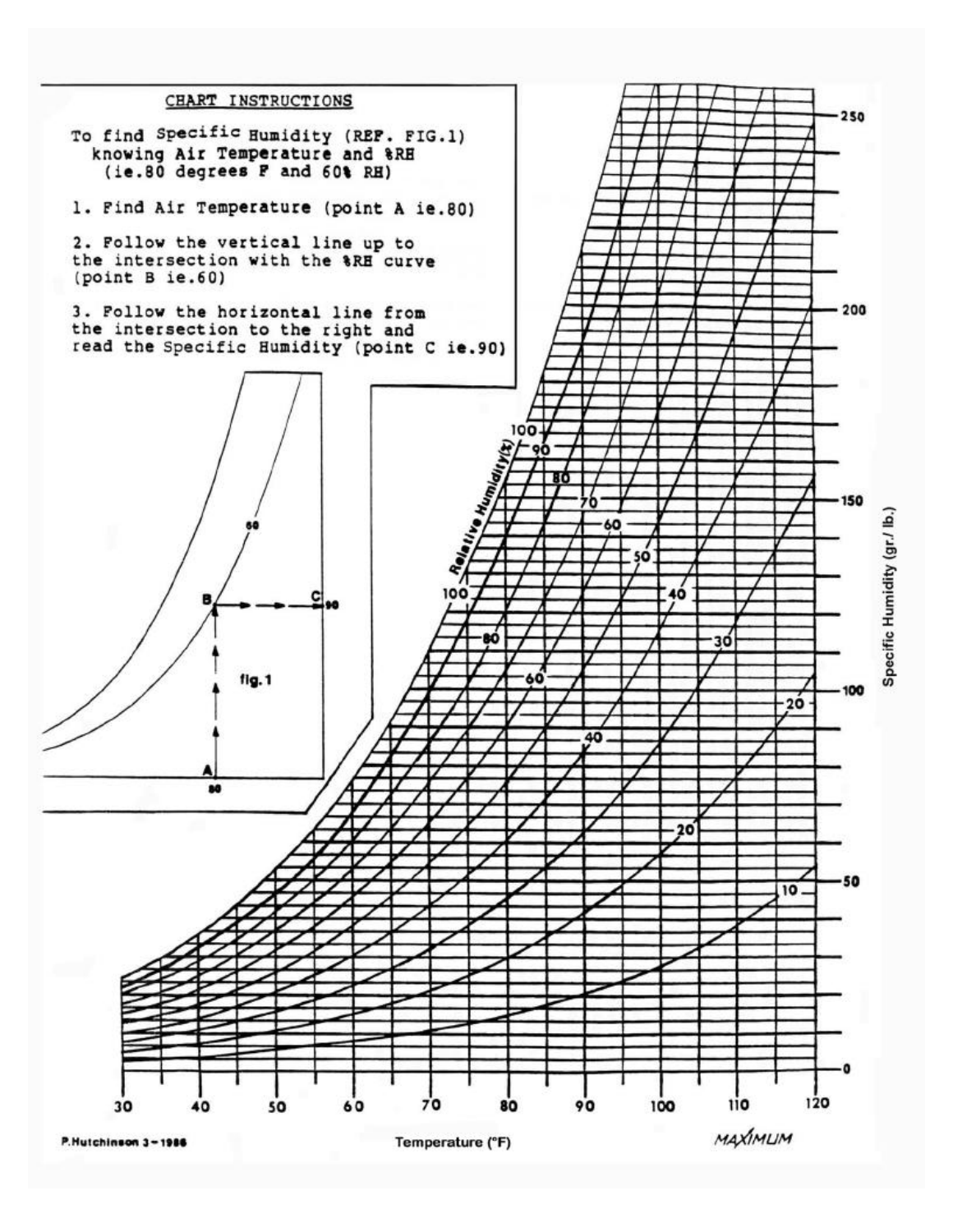